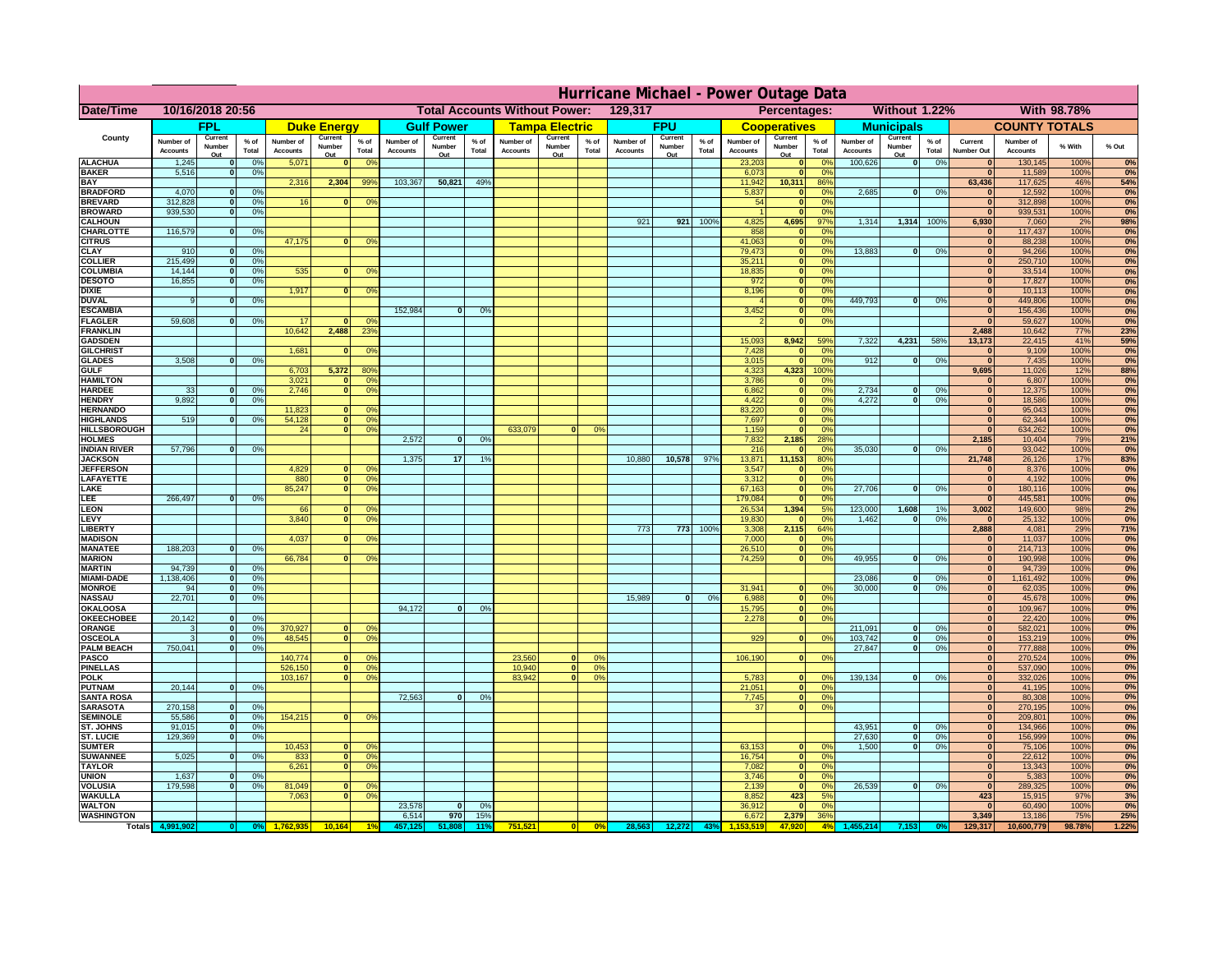|                                       | Hurricane Michael - Power Outage Data |                              |                                  |                              |                     |                                                 |                              |                   |                 |                              |                       |                                                     |                       |                   |                 |                              |                              |                                  |                              |                                |                 |                              |                              |              |                   |
|---------------------------------------|---------------------------------------|------------------------------|----------------------------------|------------------------------|---------------------|-------------------------------------------------|------------------------------|-------------------|-----------------|------------------------------|-----------------------|-----------------------------------------------------|-----------------------|-------------------|-----------------|------------------------------|------------------------------|----------------------------------|------------------------------|--------------------------------|-----------------|------------------------------|------------------------------|--------------|-------------------|
| Date/Time                             | 10/16/2018 20:56                      |                              |                                  |                              |                     | <b>Total Accounts Without Power:</b><br>129,317 |                              |                   |                 |                              |                       | Without 1.22%<br><b>With 98.78%</b><br>Percentages: |                       |                   |                 |                              |                              |                                  |                              |                                |                 |                              |                              |              |                   |
|                                       |                                       | FPL                          |                                  |                              | <b>Duke Energy</b>  |                                                 |                              | <b>Gulf Power</b> |                 |                              | <b>Tampa Electric</b> |                                                     |                       | <b>FPU</b>        |                 |                              | <b>Cooperatives</b>          |                                  |                              | <b>Municipals</b>              |                 |                              | <b>COUNTY TOTALS</b>         |              |                   |
| County                                | Number of<br><b>Accounts</b>          | Current<br>Number            | $%$ of<br>Total                  | Number of<br><b>Accounts</b> | Current<br>Number   | $%$ of<br>Total                                 | Number of<br><b>Accounts</b> | Current<br>Number | $%$ of<br>Total | Number of<br><b>Accounts</b> | Current<br>Number     | $%$ of<br>Total                                     | Number of<br>Accounts | Current<br>Number | $%$ of<br>Total | Number of<br><b>Accounts</b> | Current<br>Number            | $%$ of<br>Total                  | Number of<br><b>Accounts</b> | Current<br>Number              | $%$ of<br>Total | Current<br><b>Number Out</b> | Number of<br><b>Accounts</b> | % With       | % Out             |
| <b>ALACHUA</b>                        | 1,245                                 | Out<br>$\mathbf{0}$          | 0%                               | 5,071                        | Out<br>$\mathbf{0}$ | 0 <sup>9</sup>                                  |                              | Out               |                 |                              | Out                   |                                                     |                       | Out               |                 | 23,203                       | Out<br>$\mathbf{0}$          | $\Omega$ <sup>c</sup>            | 100,626                      | Out<br>$\overline{\mathbf{0}}$ | 0%              | $\bf{0}$                     | 130,145                      | 100%         | 0%                |
| <b>BAKER</b>                          | 5,516                                 | $\mathbf{0}$                 | 0%                               |                              |                     |                                                 |                              |                   |                 |                              |                       |                                                     |                       |                   |                 | 6,073                        | $\mathbf{0}$                 | 0 <sup>9</sup>                   |                              |                                |                 | $\bf{0}$                     | 11,589                       | 100%         | 0%                |
| <b>BAY</b><br><b>BRADFORD</b>         | 4,070                                 | $\mathbf{0}$                 | 0%                               | 2,316                        | 2,304               | 99%                                             | 103,367                      | 50,821            | 49%             |                              |                       |                                                     |                       |                   |                 | 11,942<br>5,837              | 10,311<br>0                  | 86%<br>0 <sup>9</sup>            | 2,685                        | 0                              | 0%              | 63,436<br>$\bf{0}$           | 117,625<br>12,592            | 46%<br>100%  | 54%<br>0%         |
| <b>BREVARD</b>                        | 312,828                               | $\mathbf{0}$                 | 0%                               | 16                           | $\mathbf{0}$        | 0 <sup>o</sup>                                  |                              |                   |                 |                              |                       |                                                     |                       |                   |                 | 54                           | $\mathbf{0}$                 | 0 <sup>9</sup>                   |                              |                                |                 | $\bf{0}$                     | 312,898                      | 100%         | 0%                |
| <b>BROWARD</b>                        | 939.530                               | $\Omega$                     | 0%                               |                              |                     |                                                 |                              |                   |                 |                              |                       |                                                     |                       |                   |                 |                              |                              | 0 <sup>9</sup>                   |                              |                                |                 | $\bf{0}$                     | 939,531                      | 100%         | 0%                |
| <b>CALHOUN</b><br>CHARLOTTE           | 116,579                               | $\mathbf{0}$                 | 0%                               |                              |                     |                                                 |                              |                   |                 |                              |                       |                                                     | 921                   | 921               | 100%            | 4,825<br>858                 | 4,695                        | 97%<br>0%                        | 1,314                        | 1,314                          | 100%            | 6,930                        | 7,060<br>117,437             | 2%<br>100%   | 98%<br>0%         |
| <b>CITRUS</b>                         |                                       |                              |                                  | 47,175                       | $\mathbf{0}$        | 0 <sup>o</sup>                                  |                              |                   |                 |                              |                       |                                                     |                       |                   |                 | 41,063                       | $\mathbf{0}$                 | $\Omega$ <sup>c</sup>            |                              |                                |                 | $\bf{0}$                     | 88,238                       | 100%         | 0%                |
| <b>CLAY</b>                           | 910                                   | $\mathbf{0}$                 | 0%                               |                              |                     |                                                 |                              |                   |                 |                              |                       |                                                     |                       |                   |                 | 79,473                       | $\mathbf{0}$                 | 0 <sup>9</sup>                   | 13,883                       | 0                              | 0%              | $\mathbf{0}$                 | 94,266                       | 100%         | 0%                |
| <b>COLLIER</b><br><b>COLUMBIA</b>     | 215,499<br>14,144                     | $\mathbf{0}$<br>$\mathbf{0}$ | 0 <sup>9</sup><br>0 <sup>9</sup> | 535                          | $\bf{0}$            | 0 <sup>9</sup>                                  |                              |                   |                 |                              |                       |                                                     |                       |                   |                 | 35,211<br>18,835             | $\mathbf{0}$<br>$\mathbf{0}$ | 0 <sup>9</sup><br>0 <sup>9</sup> |                              |                                |                 | $\mathbf{0}$<br>$\bf{0}$     | 250,710<br>33,514            | 100%<br>100% | 0%<br>0%          |
| <b>DESOTO</b>                         | 16,855                                | $\mathbf{0}$                 | 0%                               |                              |                     |                                                 |                              |                   |                 |                              |                       |                                                     |                       |                   |                 | 972                          | $\mathbf{0}$                 | 0 <sup>9</sup>                   |                              |                                |                 | $\bf{0}$                     | 17,827                       | 100%         | 0%                |
| <b>DIXIE</b><br><b>DUVAL</b>          | 9                                     | $\Omega$                     | 0%                               | 1,917                        | $\Omega$            | 0 <sup>9</sup>                                  |                              |                   |                 |                              |                       |                                                     |                       |                   |                 | 8,196                        | $\mathbf{0}$<br>$\mathbf{0}$ | 0 <sup>9</sup><br>0 <sup>9</sup> | 449.793                      | $\mathbf{0}$                   | 0%              | $\bf{0}$<br>$\bf{0}$         | 10,113<br>449,806            | 100%<br>100% | 0%<br>0%          |
| <b>ESCAMBIA</b>                       |                                       |                              |                                  |                              |                     |                                                 | 152,984                      | $\Omega$          | 0%              |                              |                       |                                                     |                       |                   |                 | 3,452                        | $\mathbf{0}$                 | 0%                               |                              |                                |                 | $\bf{0}$                     | 156,436                      | 100%         | 0%                |
| <b>FLAGLER</b>                        | 59,608                                | $\mathbf{o}$                 | 0%                               | 17                           |                     | 0°                                              |                              |                   |                 |                              |                       |                                                     |                       |                   |                 |                              | $\mathbf{0}$                 | 0%                               |                              |                                |                 | $\sqrt{2}$                   | 59,627                       | 100%         | 0%                |
| <b>FRANKLIN</b><br><b>GADSDEN</b>     |                                       |                              |                                  | 10,642                       | 2,488               | 23 <sup>o</sup>                                 |                              |                   |                 |                              |                       |                                                     |                       |                   |                 | 15,093                       | 8,942                        | 59%                              | 7,322                        | 4,231                          | 58%             | 2,488<br>13,173              | 10,642<br>22,415             | 77%<br>41%   | <b>23%</b><br>59% |
| <b>GILCHRIST</b>                      |                                       |                              |                                  | 1,681                        | $\mathbf{0}$        | 0 <sup>9</sup>                                  |                              |                   |                 |                              |                       |                                                     |                       |                   |                 | 7,428                        | $\mathbf{0}$                 | 0%                               |                              |                                |                 | $\mathbf{0}$                 | 9,109                        | 100%         | 0%                |
| <b>GLADES</b>                         | 3,508                                 | $\mathbf{0}$                 | 0%                               |                              |                     |                                                 |                              |                   |                 |                              |                       |                                                     |                       |                   |                 | 3,015                        | $\Omega$                     | 0%                               | 912                          | $\mathbf{0}$                   | 0%              | $\overline{0}$               | 7,435                        | 100%         | 0%                |
| <b>GULF</b><br><b>HAMILTON</b>        |                                       |                              |                                  | 6,703<br>3,021               | 5,372<br>$\Omega$   | 80%<br>0 <sup>9</sup>                           |                              |                   |                 |                              |                       |                                                     |                       |                   |                 | 4,323<br>3,786               | 4,323<br>$\Omega$            | 100%<br>0 <sup>9</sup>           |                              |                                |                 | 9,695<br>$\mathbf{0}$        | 11,026<br>6,807              | 12%<br>100%  | 88%<br>0%         |
| <b>HARDEE</b>                         | 33                                    | $\mathbf{0}$                 | 0%                               | 2.746                        | $\Omega$            | 0 <sup>9</sup>                                  |                              |                   |                 |                              |                       |                                                     |                       |                   |                 | 6.862                        | $\mathbf{0}$                 | 0%                               | 2.734                        | $\mathbf{0}$                   | 0%              | $\mathbf{0}$                 | 12,375                       | 100%         | 0%                |
| <b>HENDRY</b>                         | 9.892                                 | 0I                           | 0%                               |                              |                     |                                                 |                              |                   |                 |                              |                       |                                                     |                       |                   |                 | 4,422                        | $\overline{0}$               | 0%                               | 4.272                        | 0                              | 0%              | $\mathbf{0}$                 | 18,586                       | 100%         | 0%                |
| <b>HERNANDO</b><br><b>HIGHLANDS</b>   | 519                                   |                              | 0%                               | 11,823<br>54,128             |                     | 0 <sup>9</sup><br> 0 <br>0 <sup>9</sup>         |                              |                   |                 |                              |                       |                                                     |                       |                   |                 | 83,220<br>7,697              | $\mathbf{0}$<br>$\mathbf{0}$ | 0%<br>0%                         |                              |                                |                 | $\mathbf{0}$<br>$\mathbf{0}$ | 95,043<br>62,344             | 100%<br>100% | 0%<br>0%          |
| <b>HILLSBOROUGH</b>                   |                                       |                              |                                  | 24                           |                     | $\overline{0}$<br>0%                            |                              |                   |                 | 633,079                      |                       | 0%                                                  |                       |                   |                 | 1,159                        | $\mathbf{0}$                 | 0 <sup>9</sup>                   |                              |                                |                 | $\bf{0}$                     | 634,262                      | 100%         | 0%                |
| <b>HOLMES</b>                         |                                       |                              |                                  |                              |                     |                                                 | 2,572                        | $\mathbf{0}$      | 0%              |                              |                       |                                                     |                       |                   |                 | 7,832                        | 2,185                        | 28%                              |                              |                                |                 | 2,185                        | 10,404                       | 79%          | 21%               |
| <b>INDIAN RIVER</b><br><b>JACKSON</b> | 57,796                                | 0                            | 0%                               |                              |                     |                                                 | 1.375                        | 17                | 1%              |                              |                       |                                                     | 10,880                | 10,578            | 97%             | 216<br>13,871                | 11,153                       | 0 <sup>9</sup><br>80%            | 35,030                       | $\mathbf{0}$                   | 0%              | $\bf{0}$<br>21,748           | 93,042<br>26,126             | 100%<br>17%  | 0%<br>83%         |
| <b>JEFFERSOI</b>                      |                                       |                              |                                  | 4,829                        |                     | n.<br>O <sup>9</sup>                            |                              |                   |                 |                              |                       |                                                     |                       |                   |                 | 3,547                        | $\mathbf{0}$                 | 0 <sup>9</sup>                   |                              |                                |                 | $\bf{0}$                     | 8,376                        | 100%         | 0%                |
| <b>LAFAYETTE</b>                      |                                       |                              |                                  | 880                          |                     | $\overline{0}$<br>0 <sup>9</sup>                |                              |                   |                 |                              |                       |                                                     |                       |                   |                 | 3,312                        | $\mathbf{0}$                 | 0%                               |                              |                                |                 | $\mathbf{0}$                 | 4,192                        | 100%         | 0%                |
| LAKE<br>LEE                           | 266,497                               | n                            | 0%                               | 85,247                       |                     | 0 <br>0 <sup>9</sup>                            |                              |                   |                 |                              |                       |                                                     |                       |                   |                 | 67,163<br>179,084            | $\mathbf{0}$<br>$\Omega$     | 0 <sup>9</sup><br>0%             | 27,706                       | $\Omega$                       | 0%              | $\mathbf{0}$<br>$\mathbf{0}$ | 180,116<br>445,581           | 100%<br>100% | 0%<br>0%          |
| LEON                                  |                                       |                              |                                  | 66                           |                     | 0 <sup>o</sup>                                  |                              |                   |                 |                              |                       |                                                     |                       |                   |                 | 26,534                       | 1,394                        | 5%                               | 123,000                      | 1,608                          | 1%              | 3,002                        | 149,600                      | 98%          | 2%                |
| LEVY                                  |                                       |                              |                                  | 3,840                        | $\Omega$            | 0 <sup>9</sup>                                  |                              |                   |                 |                              |                       |                                                     |                       |                   |                 | 19,830                       |                              | 0 <sup>9</sup>                   | 1,462                        | $\mathbf{0}$                   | 0%              | $\mathbf{0}$                 | 25,132                       | 100%         | 0%                |
| LIBERTY<br><b>MADISON</b>             |                                       |                              |                                  | 4,037                        |                     | 0 <sup>9</sup>                                  |                              |                   |                 |                              |                       |                                                     | 773                   | 773               | 100%            | 3,308<br>7,000               | 2,115                        | 64%<br>0%                        |                              |                                |                 | 2,888<br>$\mathbf{0}$        | 4,081<br>11,037              | 29%<br>100%  | 71%<br>0%         |
| <b>MANATEE</b>                        | 188,203                               | $\mathbf{0}$                 | 0%                               |                              |                     |                                                 |                              |                   |                 |                              |                       |                                                     |                       |                   |                 | 26,510                       |                              | 0%                               |                              |                                |                 | 0                            | 214,713                      | 100%         | 0%                |
| <b>MARION</b>                         |                                       |                              |                                  | 66,784                       |                     | 0°                                              |                              |                   |                 |                              |                       |                                                     |                       |                   |                 | 74,259                       | $\Omega$                     | 0%                               | 49,955                       | $\mathbf{0}$                   | 0%              | 0                            | 190,998                      | 100%         | 0%                |
| <b>MARTIN</b><br><b>MIAMI-DADE</b>    | 94,739<br>1,138,406                   | 0 <br> 0                     | 0%<br>0%                         |                              |                     |                                                 |                              |                   |                 |                              |                       |                                                     |                       |                   |                 |                              |                              |                                  | 23,086                       | $\Omega$                       | 0%              | 0                            | 94,739                       | 100%         | 0%<br>0%          |
| <b>MONROE</b>                         | 94                                    | 0                            | 0%                               |                              |                     |                                                 |                              |                   |                 |                              |                       |                                                     |                       |                   |                 | 31,941                       |                              | 0 <sup>o</sup>                   | 30,000                       | $\Omega$                       | 0%              | 0 <br>$\mathbf{0}$           | 1,161,492<br>62,035          | 100%<br>100% | 0%                |
| <b>NASSAU</b>                         | 22,701                                | 0                            | 0%                               |                              |                     |                                                 |                              |                   |                 |                              |                       |                                                     | 15,989                | 0                 | 0%              | 6,988                        | $\mathbf{0}$                 | 0 <sup>9</sup>                   |                              |                                |                 | $\mathbf{0}$                 | 45,678                       | 100%         | 0%                |
| OKALOOS/                              | 20,142                                |                              | 0%                               |                              |                     |                                                 | 94,172                       | $\mathbf{0}$      | 0%              |                              |                       |                                                     |                       |                   |                 | 15,795                       | 0                            | 0%                               |                              |                                |                 | $\mathbf{0}$                 | 109,967                      | 100%         | 0%                |
| <b>OKEECHOBEE</b><br>ORANGE           | 3                                     | 0 <br> 0                     | 0%                               | 370,927                      | $\mathbf{0}$        | 0 <sup>o</sup>                                  |                              |                   |                 |                              |                       |                                                     |                       |                   |                 | 2,278                        | 0                            | 0%                               | 211,091                      | 0                              | 0%              | $\mathbf{0}$<br>$\mathbf{0}$ | 22,420<br>582,021            | 100%<br>100% | 0%<br>0%          |
| <b>OSCEOLA</b>                        | 3                                     | 0                            | 0%                               | 48,545                       | $\Omega$            | 0 <sup>9</sup>                                  |                              |                   |                 |                              |                       |                                                     |                       |                   |                 | 929                          | $\Omega$                     | 0 <sup>9</sup>                   | 103,742                      | 0                              | 0%              | 0                            | 153,219                      | 100%         | 0%                |
| <b>PALM BEACH</b><br><b>PASCO</b>     | 750,041                               |                              | 0%<br> 0                         | 140,774                      | $\mathbf{0}$        | 0 <sup>9</sup>                                  |                              |                   |                 | 23,560                       | $\Omega$              | 0 <sup>2</sup>                                      |                       |                   |                 | 106,190                      | 0                            | 0 <sup>9</sup>                   | 27,847                       | $\mathbf{0}$                   | 0%              | $\mathbf{0}$<br>$\mathbf{0}$ | 777,888<br>270,524           | 100%<br>100% | 0%                |
| <b>PINELLAS</b>                       |                                       |                              |                                  | 526,150                      |                     | 0 <sup>9</sup><br>$\Omega$                      |                              |                   |                 | 10,940                       | 0                     | 0%                                                  |                       |                   |                 |                              |                              |                                  |                              |                                |                 | $\mathbf{0}$                 | 537,090                      | 100%         | 0%<br>0%          |
| <b>POLK</b>                           |                                       |                              |                                  | 103,167                      |                     | 0 <sup>9</sup><br> 0                            |                              |                   |                 | 83,942                       | 0                     | 0%                                                  |                       |                   |                 | 5,783                        | $\Omega$                     | no                               | 139,134                      | 0                              | 0%              | $\mathbf{0}$                 | 332,026                      | 100%         | 0%                |
| <b>PUTNAM</b><br><b>SANTA ROSA</b>    | 20,144                                | 0                            | 0%                               |                              |                     |                                                 | 72,563                       | 0                 | 0%              |                              |                       |                                                     |                       |                   |                 | 21,051<br>7,745              | $\mathbf{0}$<br> 0           | 0 <sup>9</sup><br>0%             |                              |                                |                 | $\mathbf{0}$<br>$\mathbf{0}$ | 41,195<br>80,308             | 100%<br>100% | 0%<br>0%          |
| <b>SARASOTA</b>                       | 270,158                               | 0                            | 0%                               |                              |                     |                                                 |                              |                   |                 |                              |                       |                                                     |                       |                   |                 | 37                           | $\overline{0}$               | 0%                               |                              |                                |                 | $\mathbf{0}$                 | 270,195                      | 100%         | 0%                |
| <b>SEMINOLE</b>                       | 55,586                                | 0                            | 0%                               | 154,215                      |                     | $\mathbf{0}$<br>0 <sup>9</sup>                  |                              |                   |                 |                              |                       |                                                     |                       |                   |                 |                              |                              |                                  |                              |                                |                 | $\mathbf{0}$                 | 209,801                      | 100%         | 0%                |
| <b>ST. JOHNS</b><br><b>ST. LUCIE</b>  | 91,015<br>129.369                     | 0<br>$\mathbf{0}$            | 0%                               |                              |                     |                                                 |                              |                   |                 |                              |                       |                                                     |                       |                   |                 |                              |                              |                                  | 43,951<br>27,630             | 0 <br>$\overline{0}$           | 0%<br>0%        | $\mathbf{0}$<br> 0           | 134,966<br>156.999           | 100%<br>100% | 0%<br>0%          |
| <b>SUMTER</b>                         |                                       |                              | 0%                               | 10,453                       |                     | $\mathbf{0}$<br>0 <sup>9</sup>                  |                              |                   |                 |                              |                       |                                                     |                       |                   |                 | 63,153                       | $\mathbf{0}$                 | 0 <sup>o</sup>                   | 1.500                        | 0                              | 0%              | $\mathbf{0}$                 | 75,106                       | 100%         | 0%                |
| <b>SUWANNEE</b>                       | 5,025                                 | $\Omega$                     | 0%                               | 833                          |                     | 0 <br>0 <sup>9</sup>                            |                              |                   |                 |                              |                       |                                                     |                       |                   |                 | 16,754                       | $\mathbf{0}$                 | 0 <sup>9</sup>                   |                              |                                |                 | $\mathbf{0}$                 | 22,612                       | 100%         | 0%                |
| <b>TAYLOR</b><br><b>UNION</b>         |                                       | $\mathbf{0}$                 | 0%                               | 6,261                        |                     | 0 <br>0 <sup>9</sup>                            |                              |                   |                 |                              |                       |                                                     |                       |                   |                 | 7,082                        | $\mathbf{0}$<br>$\mathbf{0}$ | 0%                               |                              |                                |                 | $\mathbf{0}$<br>$\mathbf{0}$ | 13,343                       | 100%<br>100% | 0%                |
| <b>VOLUSIA</b>                        | 1,637<br>179,598                      | $\mathbf{0}$                 | 0%                               | 81,049                       | $\bf{0}$            | 0 <sup>9</sup>                                  |                              |                   |                 |                              |                       |                                                     |                       |                   |                 | 3,746<br>2,139               | $\mathbf{0}$                 | 0 <sup>9</sup><br>0 <sup>9</sup> | 26,539                       | 0                              | 0%              | $\mathbf{0}$                 | 5,383<br>289,325             | 100%         | 0%<br>0%          |
| <b>WAKULLA</b>                        |                                       |                              |                                  | 7,063                        | $\mathbf{0}$        | 0 <sup>9</sup>                                  |                              |                   |                 |                              |                       |                                                     |                       |                   |                 | 8,852                        | 423                          | 5%                               |                              |                                |                 | 423                          | 15,915                       | 97%          | 3%                |
| <b>WALTON</b><br><b>WASHINGTON</b>    |                                       |                              |                                  |                              |                     |                                                 | 23,578<br>6,514              | 0 <br>970         | 0%<br>15%       |                              |                       |                                                     |                       |                   |                 | 36,912<br>6,672              | $\mathbf{0}$<br>2,379        | 0 <sup>9</sup><br>36%            |                              |                                |                 | $\mathbf{0}$<br>3,349        | 60,490<br>13,186             | 100%<br>75%  | 0%<br>25%         |
| <b>Totals</b>                         |                                       |                              |                                  |                              | 10.164              |                                                 |                              |                   | 11'             | 751,521                      |                       | 0%                                                  | 28,563                | 12,272            | 43              |                              | 47.920                       | 4%                               |                              |                                |                 | 129,317                      | 10,600,779                   | 98.78%       | 1.22%             |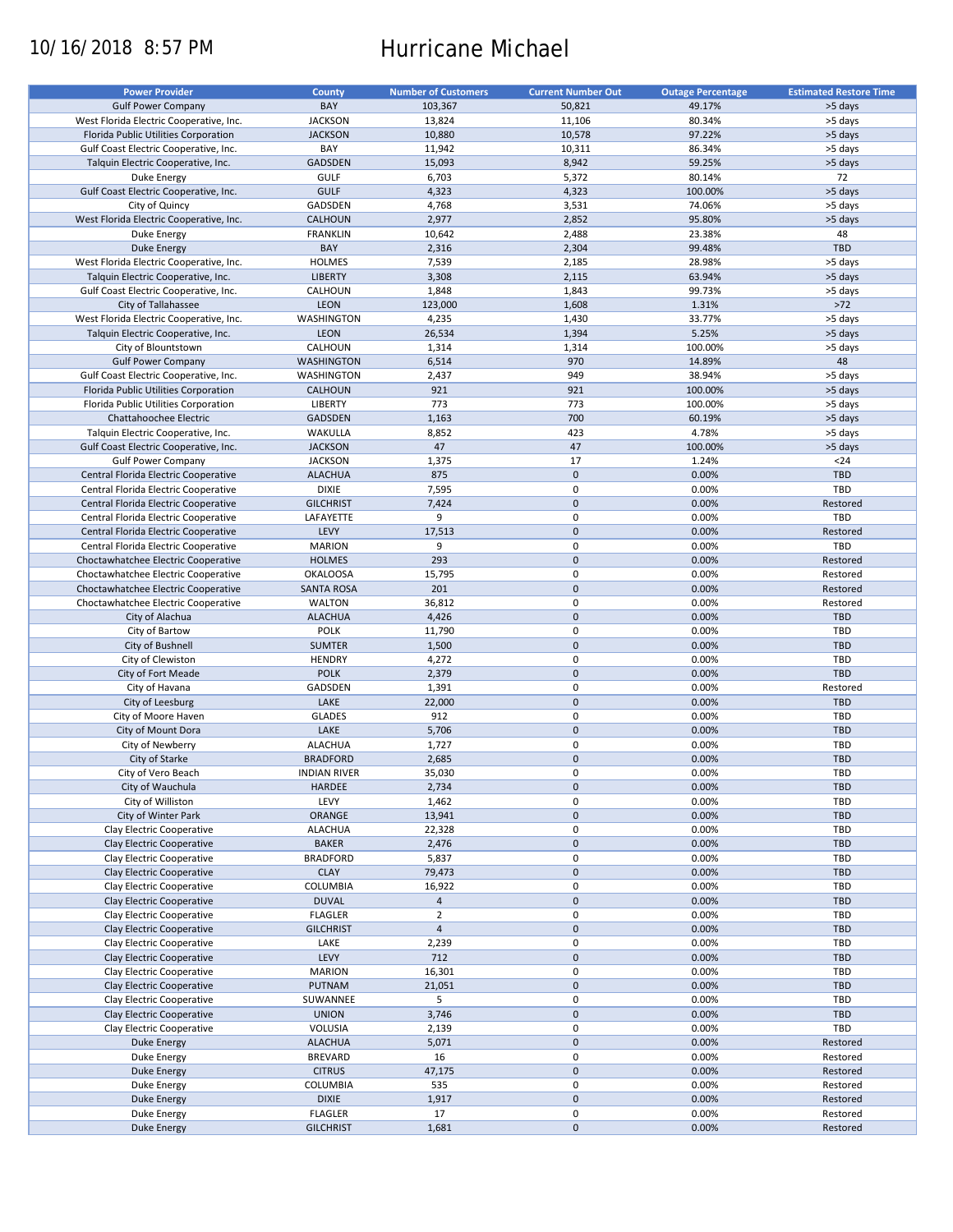# 10/16/2018 8:57 PM Hurricane Michael

| <b>Power Provider</b>                   | <b>County</b>       | <b>Number of Customers</b> | <b>Current Number Out</b> | <b>Outage Percentage</b> | <b>Estimated Restore Time</b> |
|-----------------------------------------|---------------------|----------------------------|---------------------------|--------------------------|-------------------------------|
|                                         |                     |                            |                           |                          |                               |
| <b>Gulf Power Company</b>               | BAY                 | 103,367                    | 50,821                    | 49.17%                   | >5 days                       |
| West Florida Electric Cooperative, Inc. | <b>JACKSON</b>      | 13,824                     | 11,106                    | 80.34%                   | >5 days                       |
| Florida Public Utilities Corporation    | <b>JACKSON</b>      | 10,880                     | 10,578                    | 97.22%                   | >5 days                       |
| Gulf Coast Electric Cooperative, Inc.   | BAY                 | 11,942                     | 10,311                    | 86.34%                   | >5 days                       |
| Talquin Electric Cooperative, Inc.      | GADSDEN             | 15,093                     | 8,942                     | 59.25%                   | >5 days                       |
| Duke Energy                             | <b>GULF</b>         | 6,703                      | 5,372                     | 80.14%                   | 72                            |
|                                         |                     |                            |                           |                          |                               |
| Gulf Coast Electric Cooperative, Inc.   | <b>GULF</b>         | 4,323                      | 4,323                     | 100.00%                  | >5 days                       |
| City of Quincy                          | GADSDEN             | 4,768                      | 3,531                     | 74.06%                   | >5 days                       |
| West Florida Electric Cooperative, Inc. | <b>CALHOUN</b>      | 2,977                      | 2,852                     | 95.80%                   | >5 days                       |
| Duke Energy                             | <b>FRANKLIN</b>     | 10,642                     | 2,488                     | 23.38%                   | 48                            |
| <b>Duke Energy</b>                      | BAY                 | 2,316                      | 2,304                     | 99.48%                   | <b>TBD</b>                    |
| West Florida Electric Cooperative, Inc. | <b>HOLMES</b>       | 7,539                      | 2,185                     | 28.98%                   | >5 days                       |
| Talquin Electric Cooperative, Inc.      | <b>LIBERTY</b>      | 3,308                      | 2,115                     | 63.94%                   | >5 days                       |
|                                         |                     |                            |                           |                          |                               |
| Gulf Coast Electric Cooperative, Inc.   | CALHOUN             | 1,848                      | 1,843                     | 99.73%                   | >5 days                       |
| City of Tallahassee                     | <b>LEON</b>         | 123,000                    | 1,608                     | 1.31%                    | $>72$                         |
| West Florida Electric Cooperative, Inc. | WASHINGTON          | 4,235                      | 1,430                     | 33.77%                   | >5 days                       |
| Talquin Electric Cooperative, Inc.      | <b>LEON</b>         | 26,534                     | 1,394                     | 5.25%                    | >5 days                       |
| City of Blountstown                     | CALHOUN             | 1,314                      | 1,314                     | 100.00%                  | >5 days                       |
| <b>Gulf Power Company</b>               | <b>WASHINGTON</b>   | 6,514                      | 970                       | 14.89%                   | 48                            |
|                                         |                     |                            |                           |                          |                               |
| Gulf Coast Electric Cooperative, Inc.   | WASHINGTON          | 2,437                      | 949                       | 38.94%                   | >5 days                       |
| Florida Public Utilities Corporation    | CALHOUN             | 921                        | 921                       | 100.00%                  | >5 days                       |
| Florida Public Utilities Corporation    | <b>LIBERTY</b>      | 773                        | 773                       | 100.00%                  | >5 days                       |
| Chattahoochee Electric                  | <b>GADSDEN</b>      | 1,163                      | 700                       | 60.19%                   | >5 days                       |
| Talquin Electric Cooperative, Inc.      | WAKULLA             | 8,852                      | 423                       | 4.78%                    | >5 days                       |
| Gulf Coast Electric Cooperative, Inc.   | <b>JACKSON</b>      | 47                         | 47                        | 100.00%                  | >5 days                       |
|                                         |                     |                            |                           |                          |                               |
| <b>Gulf Power Company</b>               | <b>JACKSON</b>      | 1,375                      | 17                        | 1.24%                    | $24$                          |
| Central Florida Electric Cooperative    | <b>ALACHUA</b>      | 875                        | $\mathbf 0$               | 0.00%                    | <b>TBD</b>                    |
| Central Florida Electric Cooperative    | <b>DIXIE</b>        | 7,595                      | 0                         | 0.00%                    | TBD                           |
| Central Florida Electric Cooperative    | <b>GILCHRIST</b>    | 7,424                      | $\mathbf 0$               | 0.00%                    | Restored                      |
| Central Florida Electric Cooperative    | LAFAYETTE           | 9                          | 0                         | 0.00%                    | TBD                           |
| Central Florida Electric Cooperative    | LEVY                | 17,513                     | $\mathbf 0$               | 0.00%                    | Restored                      |
| Central Florida Electric Cooperative    | <b>MARION</b>       | 9                          | 0                         | 0.00%                    | TBD                           |
|                                         |                     |                            |                           |                          |                               |
| Choctawhatchee Electric Cooperative     | <b>HOLMES</b>       | 293                        | $\mathbf 0$               | 0.00%                    | Restored                      |
| Choctawhatchee Electric Cooperative     | <b>OKALOOSA</b>     | 15,795                     | 0                         | 0.00%                    | Restored                      |
| Choctawhatchee Electric Cooperative     | <b>SANTA ROSA</b>   | 201                        | $\mathbf 0$               | 0.00%                    | Restored                      |
| Choctawhatchee Electric Cooperative     | <b>WALTON</b>       | 36,812                     | 0                         | 0.00%                    | Restored                      |
| City of Alachua                         | <b>ALACHUA</b>      | 4,426                      | $\mathbf 0$               | 0.00%                    | <b>TBD</b>                    |
| City of Bartow                          | POLK                | 11,790                     | $\pmb{0}$                 | 0.00%                    | TBD                           |
| City of Bushnell                        | <b>SUMTER</b>       | 1,500                      | $\mathbf 0$               | 0.00%                    | <b>TBD</b>                    |
| City of Clewiston                       | <b>HENDRY</b>       | 4,272                      | 0                         | 0.00%                    | TBD                           |
|                                         |                     |                            |                           |                          |                               |
| City of Fort Meade                      | <b>POLK</b>         | 2,379                      | $\mathbf 0$               | 0.00%                    | <b>TBD</b>                    |
| City of Havana                          | GADSDEN             | 1,391                      | $\pmb{0}$                 | 0.00%                    | Restored                      |
| City of Leesburg                        | LAKE                | 22,000                     | $\mathbf 0$               | 0.00%                    | <b>TBD</b>                    |
| City of Moore Haven                     | <b>GLADES</b>       | 912                        | 0                         | 0.00%                    | TBD                           |
| City of Mount Dora                      | LAKE                | 5,706                      | $\mathbf 0$               | 0.00%                    | <b>TBD</b>                    |
| City of Newberry                        | <b>ALACHUA</b>      | 1,727                      | 0                         | 0.00%                    | <b>TBD</b>                    |
| City of Starke                          | <b>BRADFORD</b>     | 2,685                      | $\mathbf 0$               | 0.00%                    | <b>TBD</b>                    |
|                                         |                     |                            |                           |                          |                               |
| City of Vero Beach                      | <b>INDIAN RIVER</b> | 35,030                     | $\mathbf 0$               | 0.00%                    | TBD                           |
| City of Wauchula                        | HARDEE              | 2,734                      | $\pmb{0}$                 | 0.00%                    | TBD                           |
| City of Williston                       | LEVY                | 1,462                      | 0                         | 0.00%                    | TBD                           |
| City of Winter Park                     | ORANGE              | 13,941                     | $\mathsf{O}\xspace$       | 0.00%                    | <b>TBD</b>                    |
| Clay Electric Cooperative               | <b>ALACHUA</b>      | 22,328                     | 0                         | 0.00%                    | TBD                           |
| Clay Electric Cooperative               | <b>BAKER</b>        | 2,476                      | $\mathsf{O}\xspace$       | 0.00%                    | TBD                           |
| Clay Electric Cooperative               | <b>BRADFORD</b>     | 5,837                      | 0                         | 0.00%                    | TBD                           |
|                                         |                     |                            |                           |                          |                               |
| Clay Electric Cooperative               | <b>CLAY</b>         | 79,473                     | $\mathsf{O}\xspace$       | 0.00%                    | TBD                           |
| Clay Electric Cooperative               | COLUMBIA            | 16,922                     | 0                         | 0.00%                    | TBD                           |
| Clay Electric Cooperative               | <b>DUVAL</b>        | $\overline{4}$             | $\mathsf{O}\xspace$       | 0.00%                    | <b>TBD</b>                    |
| Clay Electric Cooperative               | <b>FLAGLER</b>      | $\overline{2}$             | 0                         | 0.00%                    | TBD                           |
| Clay Electric Cooperative               | <b>GILCHRIST</b>    | $\overline{4}$             | $\pmb{0}$                 | 0.00%                    | <b>TBD</b>                    |
| Clay Electric Cooperative               | LAKE                | 2,239                      | 0                         | 0.00%                    | TBD                           |
| Clay Electric Cooperative               | LEVY                | 712                        | $\pmb{0}$                 | 0.00%                    | <b>TBD</b>                    |
|                                         |                     |                            |                           |                          |                               |
| Clay Electric Cooperative               | <b>MARION</b>       | 16,301                     | 0                         | 0.00%                    | TBD                           |
| Clay Electric Cooperative               | <b>PUTNAM</b>       | 21,051                     | $\pmb{0}$                 | 0.00%                    | <b>TBD</b>                    |
| Clay Electric Cooperative               | SUWANNEE            | 5                          | 0                         | 0.00%                    | TBD                           |
| Clay Electric Cooperative               | <b>UNION</b>        | 3,746                      | $\pmb{0}$                 | 0.00%                    | TBD                           |
| Clay Electric Cooperative               | VOLUSIA             | 2,139                      | $\pmb{0}$                 | 0.00%                    | TBD                           |
| Duke Energy                             | <b>ALACHUA</b>      | 5,071                      | $\pmb{0}$                 | 0.00%                    | Restored                      |
| Duke Energy                             | <b>BREVARD</b>      | 16                         | 0                         | 0.00%                    | Restored                      |
|                                         |                     |                            |                           |                          |                               |
| <b>Duke Energy</b>                      | <b>CITRUS</b>       | 47,175                     | $\mathsf{O}\xspace$       | 0.00%                    | Restored                      |
| Duke Energy                             | COLUMBIA            | 535                        | 0                         | 0.00%                    | Restored                      |
| <b>Duke Energy</b>                      | <b>DIXIE</b>        | 1,917                      | $\pmb{0}$                 | 0.00%                    | Restored                      |
| Duke Energy                             | <b>FLAGLER</b>      | 17                         | 0                         | 0.00%                    | Restored                      |
| <b>Duke Energy</b>                      | <b>GILCHRIST</b>    | 1,681                      | $\pmb{0}$                 | 0.00%                    | Restored                      |
|                                         |                     |                            |                           |                          |                               |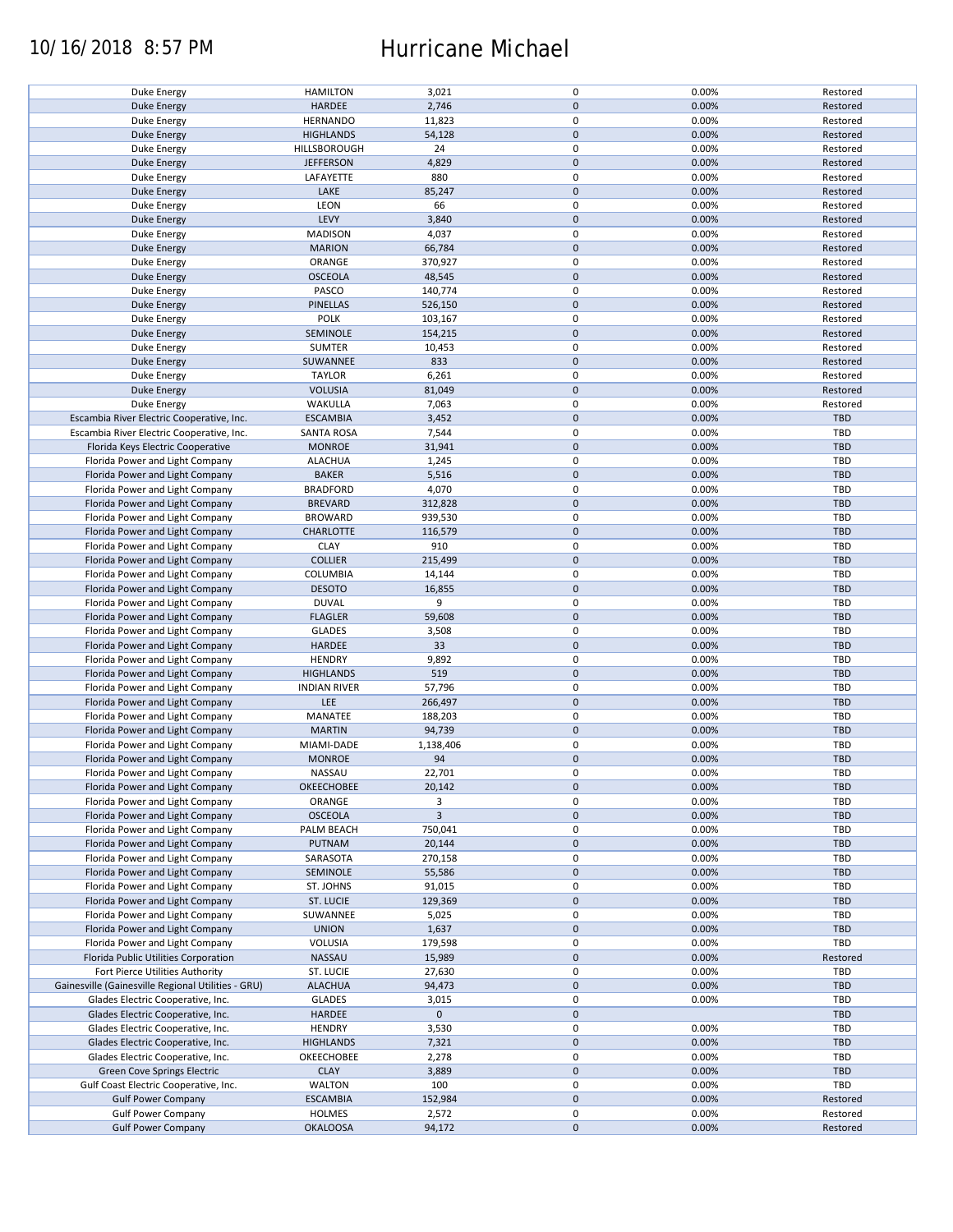## 10/16/2018 8:57 PM Hurricane Michael

| Duke Energy                                        | <b>HAMILTON</b>     | 3,021          | 0           | 0.00% | Restored   |
|----------------------------------------------------|---------------------|----------------|-------------|-------|------------|
| <b>Duke Energy</b>                                 | HARDEE              | 2,746          | $\mathbf 0$ | 0.00% | Restored   |
|                                                    |                     |                |             |       |            |
| Duke Energy                                        | <b>HERNANDO</b>     | 11,823         | 0           | 0.00% | Restored   |
| <b>Duke Energy</b>                                 | <b>HIGHLANDS</b>    | 54,128         | $\mathbf 0$ | 0.00% | Restored   |
|                                                    |                     |                |             |       |            |
| Duke Energy                                        | HILLSBOROUGH        | 24             | 0           | 0.00% | Restored   |
| <b>Duke Energy</b>                                 | <b>JEFFERSON</b>    | 4,829          | $\mathbf 0$ | 0.00% | Restored   |
| Duke Energy                                        | LAFAYETTE           | 880            | $\pmb{0}$   | 0.00% | Restored   |
|                                                    |                     |                |             |       |            |
| <b>Duke Energy</b>                                 | LAKE                | 85,247         | $\mathbf 0$ | 0.00% | Restored   |
| Duke Energy                                        | LEON                | 66             | 0           | 0.00% | Restored   |
|                                                    |                     |                |             |       |            |
| <b>Duke Energy</b>                                 | LEVY                | 3,840          | $\mathbf 0$ | 0.00% | Restored   |
| Duke Energy                                        | <b>MADISON</b>      | 4,037          | 0           | 0.00% | Restored   |
|                                                    |                     |                |             |       |            |
| <b>Duke Energy</b>                                 | <b>MARION</b>       | 66,784         | $\mathbf 0$ | 0.00% | Restored   |
| Duke Energy                                        | ORANGE              | 370,927        | 0           | 0.00% | Restored   |
| <b>Duke Energy</b>                                 | <b>OSCEOLA</b>      | 48,545         | $\mathbf 0$ | 0.00% | Restored   |
|                                                    |                     |                |             |       |            |
| Duke Energy                                        | PASCO               | 140,774        | $\pmb{0}$   | 0.00% | Restored   |
| <b>Duke Energy</b>                                 | PINELLAS            | 526,150        | $\mathbf 0$ | 0.00% | Restored   |
|                                                    |                     |                |             |       |            |
| Duke Energy                                        | <b>POLK</b>         | 103,167        | 0           | 0.00% | Restored   |
| <b>Duke Energy</b>                                 | SEMINOLE            | 154,215        | $\pmb{0}$   | 0.00% | Restored   |
|                                                    |                     |                |             |       |            |
| Duke Energy                                        | SUMTER              | 10,453         | $\pmb{0}$   | 0.00% | Restored   |
| <b>Duke Energy</b>                                 | SUWANNEE            | 833            | $\pmb{0}$   | 0.00% | Restored   |
| Duke Energy                                        | <b>TAYLOR</b>       |                | $\pmb{0}$   | 0.00% | Restored   |
|                                                    |                     | 6,261          |             |       |            |
| <b>Duke Energy</b>                                 | <b>VOLUSIA</b>      | 81,049         | $\pmb{0}$   | 0.00% | Restored   |
| Duke Energy                                        | WAKULLA             | 7,063          | 0           | 0.00% | Restored   |
|                                                    |                     |                |             |       |            |
| Escambia River Electric Cooperative, Inc.          | <b>ESCAMBIA</b>     | 3,452          | $\pmb{0}$   | 0.00% | <b>TBD</b> |
| Escambia River Electric Cooperative, Inc.          | <b>SANTA ROSA</b>   | 7,544          | $\pmb{0}$   | 0.00% | <b>TBD</b> |
|                                                    |                     |                |             |       |            |
| Florida Keys Electric Cooperative                  | <b>MONROE</b>       | 31,941         | $\pmb{0}$   | 0.00% | <b>TBD</b> |
| Florida Power and Light Company                    | <b>ALACHUA</b>      | 1,245          | $\pmb{0}$   | 0.00% | <b>TBD</b> |
|                                                    |                     |                |             |       |            |
| Florida Power and Light Company                    | <b>BAKER</b>        | 5,516          | $\pmb{0}$   | 0.00% | <b>TBD</b> |
| Florida Power and Light Company                    | <b>BRADFORD</b>     | 4,070          | $\pmb{0}$   | 0.00% | <b>TBD</b> |
| Florida Power and Light Company                    |                     |                |             |       |            |
|                                                    | <b>BREVARD</b>      | 312,828        | $\pmb{0}$   | 0.00% | <b>TBD</b> |
| Florida Power and Light Company                    | <b>BROWARD</b>      | 939,530        | $\pmb{0}$   | 0.00% | <b>TBD</b> |
| Florida Power and Light Company                    | <b>CHARLOTTE</b>    | 116,579        | $\pmb{0}$   | 0.00% | <b>TBD</b> |
|                                                    |                     |                |             |       |            |
| Florida Power and Light Company                    | <b>CLAY</b>         | 910            | 0           | 0.00% | TBD        |
| Florida Power and Light Company                    | <b>COLLIER</b>      | 215,499        | $\pmb{0}$   | 0.00% | <b>TBD</b> |
|                                                    |                     |                |             |       |            |
| Florida Power and Light Company                    | <b>COLUMBIA</b>     | 14,144         | 0           | 0.00% | TBD        |
| Florida Power and Light Company                    | <b>DESOTO</b>       | 16,855         | $\pmb{0}$   | 0.00% | <b>TBD</b> |
|                                                    |                     |                |             |       |            |
| Florida Power and Light Company                    | <b>DUVAL</b>        | 9              | 0           | 0.00% | <b>TBD</b> |
| Florida Power and Light Company                    | <b>FLAGLER</b>      | 59,608         | $\pmb{0}$   | 0.00% | <b>TBD</b> |
|                                                    |                     |                |             |       |            |
| Florida Power and Light Company                    | <b>GLADES</b>       | 3,508          | $\pmb{0}$   | 0.00% | <b>TBD</b> |
| Florida Power and Light Company                    | <b>HARDEE</b>       | 33             | $\mathbf 0$ | 0.00% | <b>TBD</b> |
|                                                    | <b>HENDRY</b>       | 9,892          | $\pmb{0}$   | 0.00% | TBD        |
| Florida Power and Light Company                    |                     |                |             |       |            |
| Florida Power and Light Company                    | <b>HIGHLANDS</b>    | 519            | $\mathbf 0$ | 0.00% | <b>TBD</b> |
| Florida Power and Light Company                    | <b>INDIAN RIVER</b> | 57,796         | $\pmb{0}$   | 0.00% | TBD        |
|                                                    |                     |                |             |       |            |
| Florida Power and Light Company                    | LEE                 | 266,497        | $\pmb{0}$   | 0.00% | <b>TBD</b> |
| Florida Power and Light Company                    | MANATEE             | 188,203        | $\pmb{0}$   | 0.00% | TBD        |
|                                                    |                     |                |             |       |            |
| Florida Power and Light Company                    | <b>MARTIN</b>       | 94,739         | $\mathbf 0$ | 0.00% | <b>TBD</b> |
| Florida Power and Light Company                    | MIAMI-DADE          | 1,138,406      | 0           | 0.00% | TBD        |
|                                                    |                     |                | $\pmb{0}$   |       |            |
| Florida Power and Light Company                    | <b>MONROE</b>       | 94             |             | 0.00% | <b>TBD</b> |
| Florida Power and Light Company                    | <b>NASSAU</b>       | 22,701         | $\pmb{0}$   | 0.00% | <b>TBD</b> |
|                                                    |                     |                | $\pmb{0}$   |       | <b>TBD</b> |
| Florida Power and Light Company                    | OKEECHOBEE          | 20,142         |             | 0.00% |            |
| Florida Power and Light Company                    | ORANGE              | 3              | 0           | 0.00% | TBD        |
| Florida Power and Light Company                    | <b>OSCEOLA</b>      | $\overline{3}$ | $\mathbf 0$ | 0.00% | <b>TBD</b> |
|                                                    |                     |                |             |       |            |
| Florida Power and Light Company                    | PALM BEACH          | 750,041        | 0           | 0.00% | <b>TBD</b> |
| Florida Power and Light Company                    | PUTNAM              | 20,144         | $\pmb{0}$   | 0.00% | <b>TBD</b> |
|                                                    |                     |                |             |       |            |
| Florida Power and Light Company                    | SARASOTA            | 270,158        | $\pmb{0}$   | 0.00% | <b>TBD</b> |
| Florida Power and Light Company                    | SEMINOLE            | 55,586         | $\pmb{0}$   | 0.00% | TBD        |
|                                                    |                     |                |             |       |            |
| Florida Power and Light Company                    | ST. JOHNS           | 91,015         | 0           | 0.00% | TBD        |
| Florida Power and Light Company                    | ST. LUCIE           | 129,369        | $\pmb{0}$   | 0.00% | <b>TBD</b> |
| Florida Power and Light Company                    | SUWANNEE            | 5,025          | 0           | 0.00% | TBD        |
|                                                    |                     |                |             |       |            |
| Florida Power and Light Company                    | <b>UNION</b>        | 1,637          | $\pmb{0}$   | 0.00% | TBD        |
| Florida Power and Light Company                    | VOLUSIA             | 179,598        | 0           | 0.00% | TBD        |
|                                                    |                     |                |             |       |            |
| Florida Public Utilities Corporation               | NASSAU              | 15,989         | $\pmb{0}$   | 0.00% | Restored   |
| Fort Pierce Utilities Authority                    | ST. LUCIE           | 27,630         | 0           | 0.00% | TBD        |
|                                                    |                     |                |             |       |            |
| Gainesville (Gainesville Regional Utilities - GRU) | <b>ALACHUA</b>      | 94,473         | $\mathbf 0$ | 0.00% | <b>TBD</b> |
| Glades Electric Cooperative, Inc.                  | <b>GLADES</b>       | 3,015          | 0           | 0.00% | TBD        |
|                                                    |                     |                |             |       |            |
| Glades Electric Cooperative, Inc.                  | HARDEE              | $\mathbf 0$    | $\mathbf 0$ |       | <b>TBD</b> |
| Glades Electric Cooperative, Inc.                  | <b>HENDRY</b>       | 3,530          | $\pmb{0}$   | 0.00% | <b>TBD</b> |
| Glades Electric Cooperative, Inc.                  | <b>HIGHLANDS</b>    | 7,321          | $\pmb{0}$   | 0.00% | TBD        |
|                                                    |                     |                |             |       |            |
| Glades Electric Cooperative, Inc.                  | OKEECHOBEE          | 2,278          | $\pmb{0}$   | 0.00% | TBD        |
| <b>Green Cove Springs Electric</b>                 | <b>CLAY</b>         | 3,889          | $\pmb{0}$   | 0.00% | <b>TBD</b> |
|                                                    |                     |                |             |       |            |
| Gulf Coast Electric Cooperative, Inc.              | <b>WALTON</b>       | 100            | $\pmb{0}$   | 0.00% | TBD        |
| <b>Gulf Power Company</b>                          | <b>ESCAMBIA</b>     | 152,984        | $\pmb{0}$   | 0.00% | Restored   |
|                                                    |                     |                |             |       |            |
| <b>Gulf Power Company</b>                          | <b>HOLMES</b>       | 2,572          | 0           | 0.00% | Restored   |
| <b>Gulf Power Company</b>                          | <b>OKALOOSA</b>     | 94,172         | $\pmb{0}$   | 0.00% | Restored   |
|                                                    |                     |                |             |       |            |